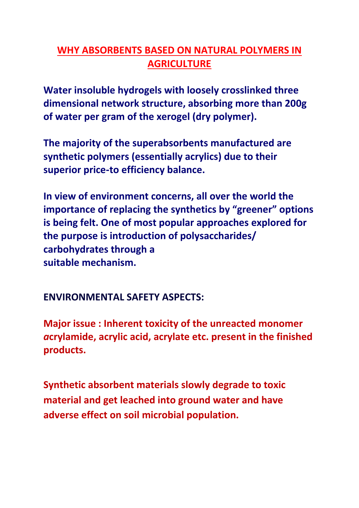## **WHY ABSORBENTS BASED ON NATURAL POLYMERS IN AGRICULTURE**

**Water insoluble hydrogels with loosely crosslinked three dimensional network structure, absorbing more than 200g of water per gram of the xerogel (dry polymer).**

**The majority of the superabsorbents manufactured are synthetic polymers (essentially acrylics) due to their superior price**‐**to efficiency balance.**

**In view of environment concerns, all over the world the importance of replacing the synthetics by "greener" options is being felt. One of most popular approaches explored for the purpose is introduction of polysaccharides/ carbohydrates through a suitable mechanism.**

**ENVIRONMENTAL SAFETY ASPECTS:**

**Major issue : Inherent toxicity of the unreacted monomer**  *a***crylamide, acrylic acid, acrylate etc. present in the finished products.**

**Synthetic absorbent materials slowly degrade to toxic material and get leached into ground water and have adverse effect on soil microbial population.**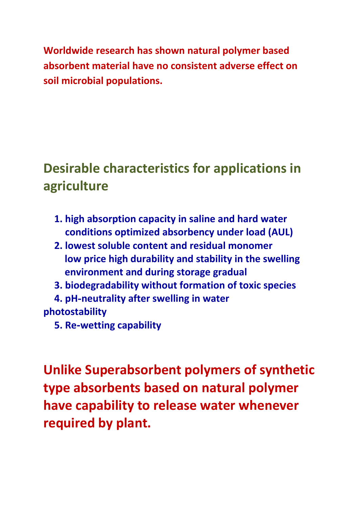**Worldwide research has shown natural polymer based absorbent material have no consistent adverse effect on soil microbial populations.**

## **Desirable characteristics for applications in agriculture**

- **1. high absorption capacity in saline and hard water conditions optimized absorbency under load (AUL)**
- **2. lowest soluble content and residual monomer low price high durability and stability in the swelling environment and during storage gradual**
- **3. biodegradability without formation of toxic species**

**4. pH**‐**neutrality after swelling in water photostability**

**5. Re**‐**wetting capability**

**Unlike Superabsorbent polymers of synthetic type absorbents based on natural polymer have capability to release water whenever required by plant.**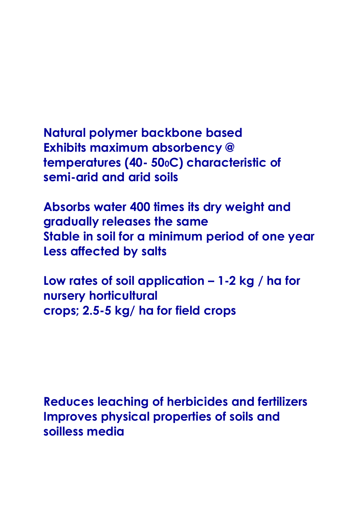**Natural polymer backbone based Exhibits maximum absorbency @ temperatures (40- 500C) characteristic of semi-arid and arid soils**

**Absorbs water 400 times its dry weight and gradually releases the same Stable in soil for a minimum period of one year Less affected by salts**

**Low rates of soil application – 1-2 kg / ha for nursery horticultural crops; 2.5-5 kg/ ha for field crops**

**Reduces leaching of herbicides and fertilizers Improves physical properties of soils and soilless media**